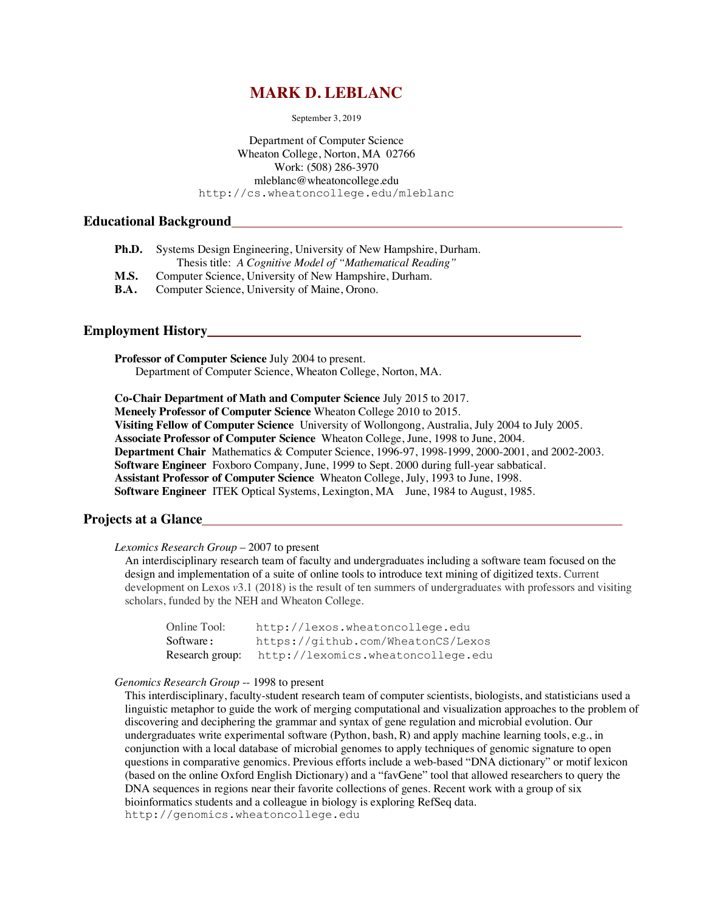# **MARK D. LEBLANC**

September 3, 2019

Department of Computer Science Wheaton College, Norton, MA 02766 Work: (508) 286-3970 mleblanc@wheatoncollege.edu http://cs.wheatoncollege.edu/mleblanc

# **Educational Background**

| Ph.D.       | Systems Design Engineering, University of New Hampshire, Durham. |
|-------------|------------------------------------------------------------------|
|             | Thesis title: A Cognitive Model of "Mathematical Reading"        |
| M.S.        | Computer Science, University of New Hampshire, Durham.           |
| <b>B.A.</b> | Computer Science, University of Maine, Orono.                    |

## **Employment History**

**Professor of Computer Science** July 2004 to present. Department of Computer Science, Wheaton College, Norton, MA.

**Co-Chair Department of Math and Computer Science** July 2015 to 2017. **Meneely Professor of Computer Science** Wheaton College 2010 to 2015. **Visiting Fellow of Computer Science** University of Wollongong, Australia, July 2004 to July 2005. **Associate Professor of Computer Science** Wheaton College, June, 1998 to June, 2004. **Department Chair** Mathematics & Computer Science, 1996-97, 1998-1999, 2000-2001, and 2002-2003. **Software Engineer** Foxboro Company, June, 1999 to Sept. 2000 during full-year sabbatical. **Assistant Professor of Computer Science** Wheaton College, July, 1993 to June, 1998.

**Software Engineer** ITEK Optical Systems, Lexington, MA June, 1984 to August, 1985.

## **Projects at a Glance**

#### *Lexomics Research Group* – 2007 to present

An interdisciplinary research team of faculty and undergraduates including a software team focused on the design and implementation of a suite of online tools to introduce text mining of digitized texts. Current development on Lexos *v*3.1 (2018) is the result of ten summers of undergraduates with professors and visiting scholars, funded by the NEH and Wheaton College.

| Online Tool:    | http://lexos.wheatoncollege.edu    |
|-----------------|------------------------------------|
| Software:       | https://github.com/WheatonCS/Lexos |
| Research group: | http://lexomics.wheatoncollege.edu |

#### *Genomics Research Group* -- 1998 to present

This interdisciplinary, faculty-student research team of computer scientists, biologists, and statisticians used a linguistic metaphor to guide the work of merging computational and visualization approaches to the problem of discovering and deciphering the grammar and syntax of gene regulation and microbial evolution. Our undergraduates write experimental software (Python, bash, R) and apply machine learning tools, e.g., in conjunction with a local database of microbial genomes to apply techniques of genomic signature to open questions in comparative genomics. Previous efforts include a web-based "DNA dictionary" or motif lexicon (based on the online Oxford English Dictionary) and a "favGene" tool that allowed researchers to query the DNA sequences in regions near their favorite collections of genes. Recent work with a group of six bioinformatics students and a colleague in biology is exploring RefSeq data. http://genomics.wheatoncollege.edu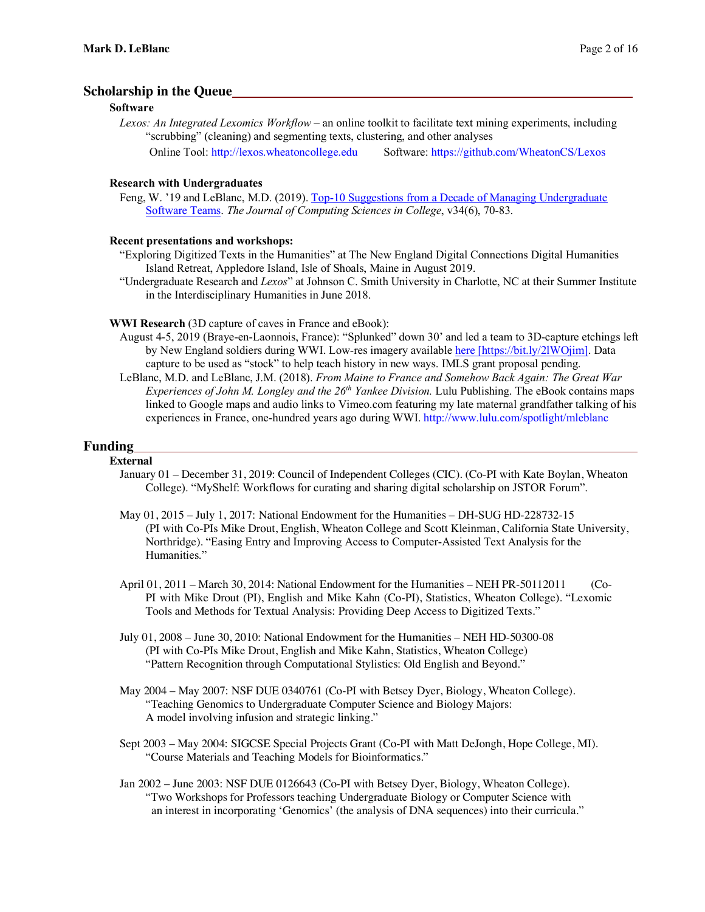## **Scholarship in the Queue**

## **Software**

*Lexos: An Integrated Lexomics Workflow* – an online toolkit to facilitate text mining experiments, including "scrubbing" (cleaning) and segmenting texts, clustering, and other analyses Online Tool: http://lexos.wheatoncollege.edu Software: https://github.com/WheatonCS/Lexos

## **Research with Undergraduates**

Feng, W. '19 and LeBlanc, M.D. (2019). Top-10 Suggestions from a Decade of Managing Undergraduate Software Teams. *The Journal of Computing Sciences in College*, v34(6), 70-83.

## **Recent presentations and workshops:**

- "Exploring Digitized Texts in the Humanities" at The New England Digital Connections Digital Humanities Island Retreat, Appledore Island, Isle of Shoals, Maine in August 2019.
- "Undergraduate Research and *Lexos*" at Johnson C. Smith University in Charlotte, NC at their Summer Institute in the Interdisciplinary Humanities in June 2018.

**WWI Research** (3D capture of caves in France and eBook):

- August 4-5, 2019 (Braye-en-Laonnois, France): "Splunked" down 30' and led a team to 3D-capture etchings left by New England soldiers during WWI. Low-res imagery available here [https://bit.ly/2lWOjim]. Data capture to be used as "stock" to help teach history in new ways. IMLS grant proposal pending.
- LeBlanc, M.D. and LeBlanc, J.M. (2018). *From Maine to France and Somehow Back Again: The Great War Experiences of John M. Longley and the 26th Yankee Division.* Lulu Publishing. The eBook contains maps linked to Google maps and audio links to Vimeo.com featuring my late maternal grandfather talking of his experiences in France, one-hundred years ago during WWI. http://www.lulu.com/spotlight/mleblanc

## **Funding**

#### **External**

- January 01 December 31, 2019: Council of Independent Colleges (CIC). (Co-PI with Kate Boylan, Wheaton College). "MyShelf: Workflows for curating and sharing digital scholarship on JSTOR Forum".
- May 01, 2015 July 1, 2017: National Endowment for the Humanities DH-SUG HD-228732-15 (PI with Co-PIs Mike Drout, English, Wheaton College and Scott Kleinman, California State University, Northridge). "Easing Entry and Improving Access to Computer-Assisted Text Analysis for the Humanities."
- April 01, 2011 March 30, 2014: National Endowment for the Humanities NEH PR-50112011 (Co-PI with Mike Drout (PI), English and Mike Kahn (Co-PI), Statistics, Wheaton College). "Lexomic Tools and Methods for Textual Analysis: Providing Deep Access to Digitized Texts."
- July 01, 2008 June 30, 2010: National Endowment for the Humanities NEH HD-50300-08 (PI with Co-PIs Mike Drout, English and Mike Kahn, Statistics, Wheaton College) "Pattern Recognition through Computational Stylistics: Old English and Beyond."
- May 2004 May 2007: NSF DUE 0340761 (Co-PI with Betsey Dyer, Biology, Wheaton College). "Teaching Genomics to Undergraduate Computer Science and Biology Majors: A model involving infusion and strategic linking."
- Sept 2003 May 2004: SIGCSE Special Projects Grant (Co-PI with Matt DeJongh, Hope College, MI). "Course Materials and Teaching Models for Bioinformatics."
- Jan 2002 June 2003: NSF DUE 0126643 (Co-PI with Betsey Dyer, Biology, Wheaton College). "Two Workshops for Professors teaching Undergraduate Biology or Computer Science with an interest in incorporating 'Genomics' (the analysis of DNA sequences) into their curricula."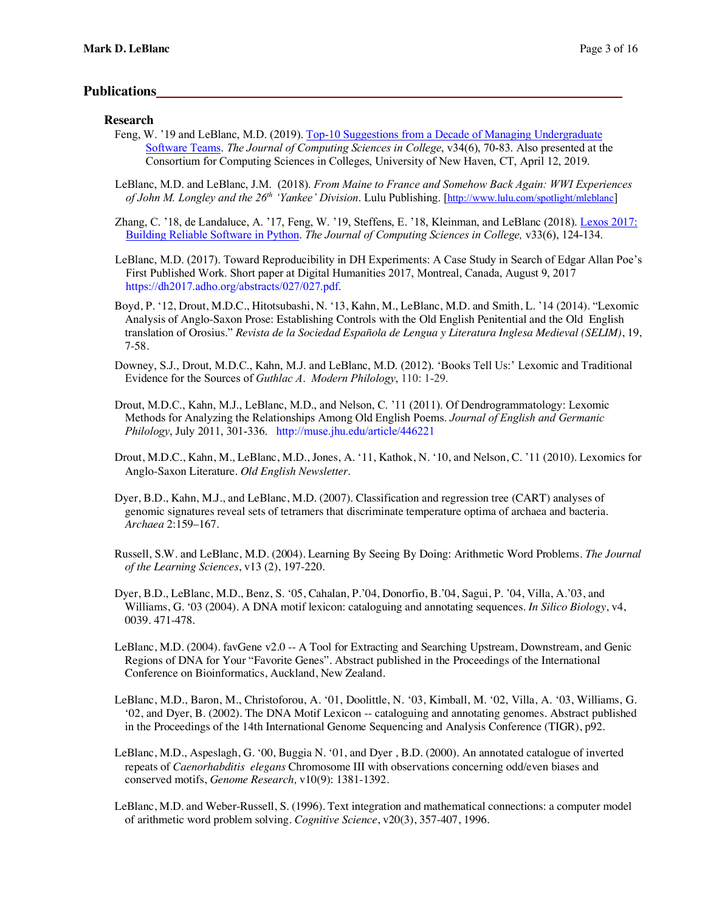## **Publications**

## **Research**

- Feng, W. '19 and LeBlanc, M.D. (2019). Top-10 Suggestions from a Decade of Managing Undergraduate Software Teams. *The Journal of Computing Sciences in College*, v34(6), 70-83. Also presented at the Consortium for Computing Sciences in Colleges, University of New Haven, CT, April 12, 2019.
- LeBlanc, M.D. and LeBlanc, J.M. (2018). *From Maine to France and Somehow Back Again: WWI Experiences of John M. Longley and the 26th 'Yankee' Division*. Lulu Publishing. [http://www.lulu.com/spotlight/mleblanc]
- Zhang, C. '18, de Landaluce, A. '17, Feng, W. '19, Steffens, E. '18, Kleinman, and LeBlanc (2018). Lexos 2017: Building Reliable Software in Python. *The Journal of Computing Sciences in College,* v33(6), 124-134.
- LeBlanc, M.D. (2017). Toward Reproducibility in DH Experiments: A Case Study in Search of Edgar Allan Poe's First Published Work. Short paper at Digital Humanities 2017, Montreal, Canada, August 9, 2017 https://dh2017.adho.org/abstracts/027/027.pdf.
- Boyd, P. '12, Drout, M.D.C., Hitotsubashi, N. '13, Kahn, M., LeBlanc, M.D. and Smith, L. '14 (2014). "Lexomic Analysis of Anglo-Saxon Prose: Establishing Controls with the Old English Penitential and the Old English translation of Orosius." *Revista de la Sociedad Española de Lengua y Literatura Inglesa Medieval (SELIM)*, 19, 7-58*.*
- Downey, S.J., Drout, M.D.C., Kahn, M.J. and LeBlanc, M.D. (2012). 'Books Tell Us:' Lexomic and Traditional Evidence for the Sources of *Guthlac A*. *Modern Philology*, 110: 1-29.
- Drout, M.D.C., Kahn, M.J., LeBlanc, M.D., and Nelson, C. '11 (2011). Of Dendrogrammatology: Lexomic Methods for Analyzing the Relationships Among Old English Poems. *Journal of English and Germanic Philology*, July 2011, 301-336. http://muse.jhu.edu/article/446221
- Drout, M.D.C., Kahn, M., LeBlanc, M.D., Jones, A. '11, Kathok, N. '10, and Nelson, C. '11 (2010). Lexomics for Anglo-Saxon Literature. *Old English Newsletter*.
- Dyer, B.D., Kahn, M.J., and LeBlanc, M.D. (2007). Classification and regression tree (CART) analyses of genomic signatures reveal sets of tetramers that discriminate temperature optima of archaea and bacteria. *Archaea* 2:159–167.
- Russell, S.W. and LeBlanc, M.D. (2004). Learning By Seeing By Doing: Arithmetic Word Problems. *The Journal of the Learning Sciences*, v13 (2), 197-220.
- Dyer, B.D., LeBlanc, M.D., Benz, S. '05, Cahalan, P.'04, Donorfio, B.'04, Sagui, P. '04, Villa, A.'03, and Williams, G. '03 (2004). A DNA motif lexicon: cataloguing and annotating sequences. *In Silico Biology*, v4, 0039. 471-478.
- LeBlanc, M.D. (2004). favGene v2.0 -- A Tool for Extracting and Searching Upstream, Downstream, and Genic Regions of DNA for Your "Favorite Genes". Abstract published in the Proceedings of the International Conference on Bioinformatics, Auckland, New Zealand.
- LeBlanc, M.D., Baron, M., Christoforou, A. '01, Doolittle, N. '03, Kimball, M. '02, Villa, A. '03, Williams, G. '02, and Dyer, B. (2002). The DNA Motif Lexicon -- cataloguing and annotating genomes. Abstract published in the Proceedings of the 14th International Genome Sequencing and Analysis Conference (TIGR), p92.
- LeBlanc, M.D., Aspeslagh, G. '00, Buggia N. '01, and Dyer , B.D. (2000). An annotated catalogue of inverted repeats of *Caenorhabditis elegans* Chromosome III with observations concerning odd/even biases and conserved motifs, *Genome Research,* v10(9): 1381-1392.
- LeBlanc, M.D. and Weber-Russell, S. (1996). Text integration and mathematical connections: a computer model of arithmetic word problem solving. *Cognitive Science*, v20(3), 357-407, 1996.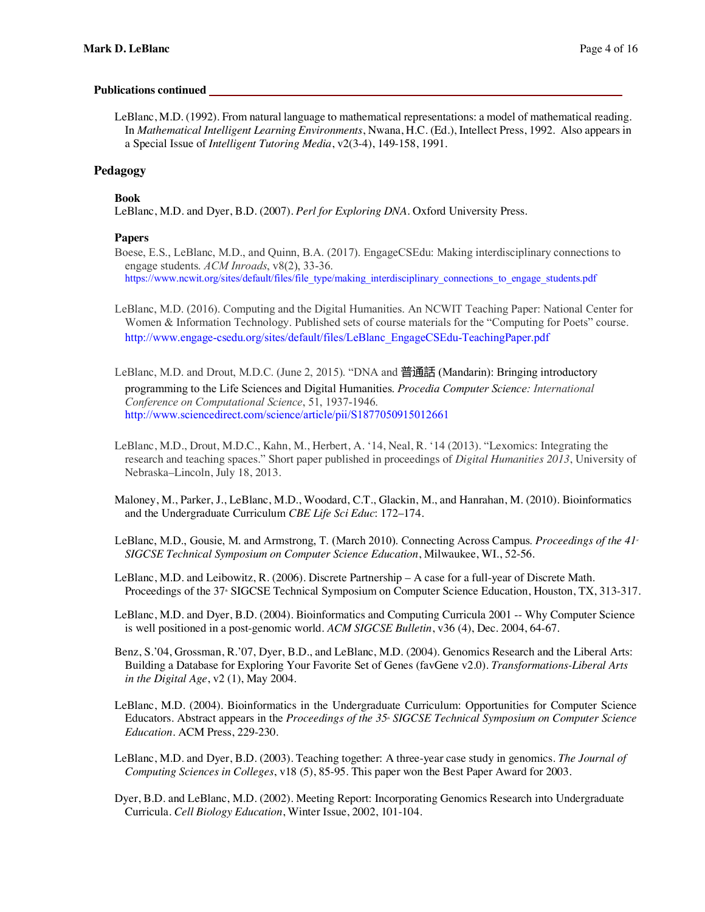## **Publications continued**

LeBlanc, M.D. (1992). From natural language to mathematical representations: a model of mathematical reading. In *Mathematical Intelligent Learning Environments*, Nwana, H.C. (Ed.), Intellect Press, 1992. Also appears in a Special Issue of *Intelligent Tutoring Media*, v2(3-4), 149-158, 1991.

## **Pedagogy**

**Book**

LeBlanc, M.D. and Dyer, B.D. (2007). *Perl for Exploring DNA.* Oxford University Press.

## **Papers**

Boese, E.S., LeBlanc, M.D., and Quinn, B.A. (2017). EngageCSEdu: Making interdisciplinary connections to engage students. *ACM Inroads*, v8(2), 33-36. https://www.ncwit.org/sites/default/files/file\_type/making\_interdisciplinary\_connections\_to\_engage\_students.pdf

- LeBlanc, M.D. (2016). Computing and the Digital Humanities. An NCWIT Teaching Paper: National Center for Women & Information Technology. Published sets of course materials for the "Computing for Poets" course. http://www.engage-csedu.org/sites/default/files/LeBlanc\_EngageCSEdu-TeachingPaper.pdf
- LeBlanc, M.D. and Drout, M.D.C. (June 2, 2015). "DNA and 普通話 (Mandarin): Bringing introductory programming to the Life Sciences and Digital Humanities. *Procedia Computer Science: International Conference on Computational Science*, 51, 1937-1946. http://www.sciencedirect.com/science/article/pii/S1877050915012661
- LeBlanc, M.D., Drout, M.D.C., Kahn, M., Herbert, A. '14, Neal, R. '14 (2013). "Lexomics: Integrating the research and teaching spaces." Short paper published in proceedings of *Digital Humanities 2013*, University of Nebraska–Lincoln, July 18, 2013.
- Maloney, M., Parker, J., LeBlanc, M.D., Woodard, C.T., Glackin, M., and Hanrahan, M. (2010). Bioinformatics and the Undergraduate Curriculum *CBE Life Sci Educ*: 172–174.
- LeBlanc, M.D., Gousie, M. and Armstrong, T. (March 2010). Connecting Across Campus. *Proceedings of the 41<sup>s</sup> SIGCSE Technical Symposium on Computer Science Education*, Milwaukee, WI., 52-56.
- LeBlanc, M.D. and Leibowitz, R. (2006). Discrete Partnership A case for a full-year of Discrete Math. Proceedings of the 37<sup>th</sup> SIGCSE Technical Symposium on Computer Science Education, Houston, TX, 313-317.

LeBlanc, M.D. and Dyer, B.D. (2004). Bioinformatics and Computing Curricula 2001 -- Why Computer Science is well positioned in a post-genomic world. *ACM SIGCSE Bulletin*, v36 (4), Dec. 2004, 64-67.

- Benz, S.'04, Grossman, R.'07, Dyer, B.D., and LeBlanc, M.D. (2004). Genomics Research and the Liberal Arts: Building a Database for Exploring Your Favorite Set of Genes (favGene v2.0). *Transformations-Liberal Arts in the Digital Age*, v2 (1), May 2004.
- LeBlanc, M.D. (2004). Bioinformatics in the Undergraduate Curriculum: Opportunities for Computer Science Educators. Abstract appears in the *Proceedings of the 35th SIGCSE Technical Symposium on Computer Science Education*. ACM Press, 229-230.
- LeBlanc, M.D. and Dyer, B.D. (2003). Teaching together: A three-year case study in genomics. *The Journal of Computing Sciences in Colleges*, v18 (5), 85-95. This paper won the Best Paper Award for 2003.
- Dyer, B.D. and LeBlanc, M.D. (2002). Meeting Report: Incorporating Genomics Research into Undergraduate Curricula. *Cell Biology Education*, Winter Issue, 2002, 101-104.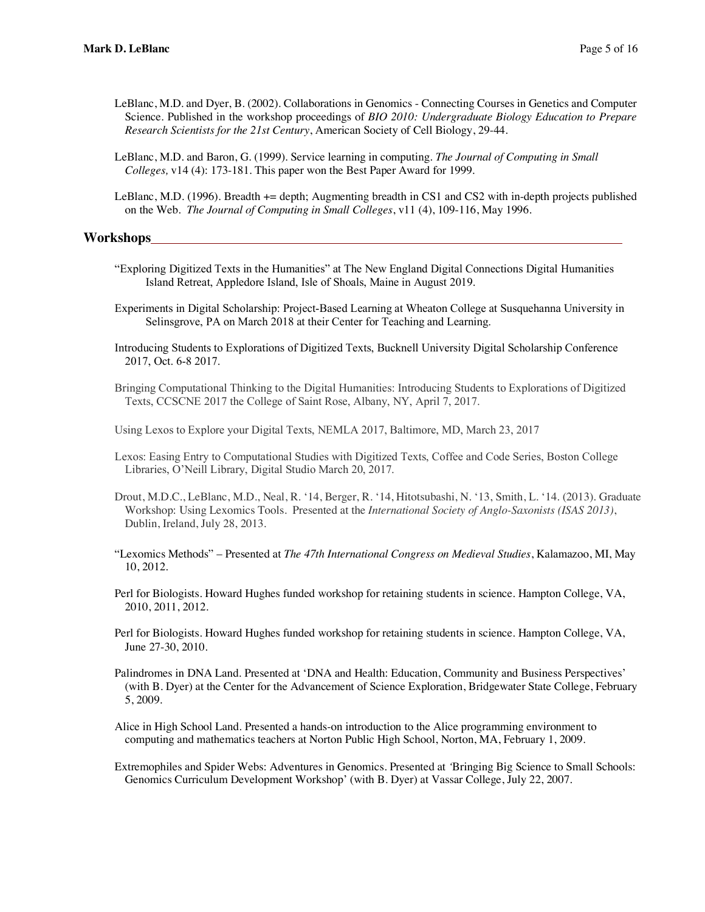- LeBlanc, M.D. and Dyer, B. (2002). Collaborations in Genomics Connecting Courses in Genetics and Computer Science. Published in the workshop proceedings of *BIO 2010: Undergraduate Biology Education to Prepare Research Scientists for the 21st Century*, American Society of Cell Biology, 29-44.
- LeBlanc, M.D. and Baron, G. (1999). Service learning in computing. *The Journal of Computing in Small Colleges,* v14 (4): 173-181. This paper won the Best Paper Award for 1999.
- LeBlanc, M.D. (1996). Breadth += depth; Augmenting breadth in CS1 and CS2 with in-depth projects published on the Web. *The Journal of Computing in Small Colleges*, v11 (4), 109-116, May 1996.

## **Workshops**

- "Exploring Digitized Texts in the Humanities" at The New England Digital Connections Digital Humanities Island Retreat, Appledore Island, Isle of Shoals, Maine in August 2019.
- Experiments in Digital Scholarship: Project-Based Learning at Wheaton College at Susquehanna University in Selinsgrove, PA on March 2018 at their Center for Teaching and Learning.
- Introducing Students to Explorations of Digitized Texts, Bucknell University Digital Scholarship Conference 2017, Oct. 6-8 2017.
- Bringing Computational Thinking to the Digital Humanities: Introducing Students to Explorations of Digitized Texts, CCSCNE 2017 the College of Saint Rose, Albany, NY, April 7, 2017.
- Using Lexos to Explore your Digital Texts, NEMLA 2017, Baltimore, MD, March 23, 2017
- Lexos: Easing Entry to Computational Studies with Digitized Texts, Coffee and Code Series, Boston College Libraries, O'Neill Library, Digital Studio March 20, 2017.
- Drout, M.D.C., LeBlanc, M.D., Neal, R. '14, Berger, R. '14, Hitotsubashi, N. '13, Smith, L. '14. (2013). Graduate Workshop: Using Lexomics Tools. Presented at the *International Society of Anglo-Saxonists (ISAS 2013)*, Dublin, Ireland, July 28, 2013.
- "Lexomics Methods" Presented at *The 47th International Congress on Medieval Studies*, Kalamazoo, MI, May 10, 2012.
- Perl for Biologists. Howard Hughes funded workshop for retaining students in science. Hampton College, VA, 2010, 2011, 2012.
- Perl for Biologists. Howard Hughes funded workshop for retaining students in science. Hampton College, VA, June 27-30, 2010.
- Palindromes in DNA Land. Presented at 'DNA and Health: Education, Community and Business Perspectives' (with B. Dyer) at the Center for the Advancement of Science Exploration, Bridgewater State College, February 5, 2009.

Alice in High School Land. Presented a hands-on introduction to the Alice programming environment to computing and mathematics teachers at Norton Public High School, Norton, MA, February 1, 2009.

Extremophiles and Spider Webs: Adventures in Genomics. Presented at *'*Bringing Big Science to Small Schools: Genomics Curriculum Development Workshop' (with B. Dyer) at Vassar College, July 22, 2007.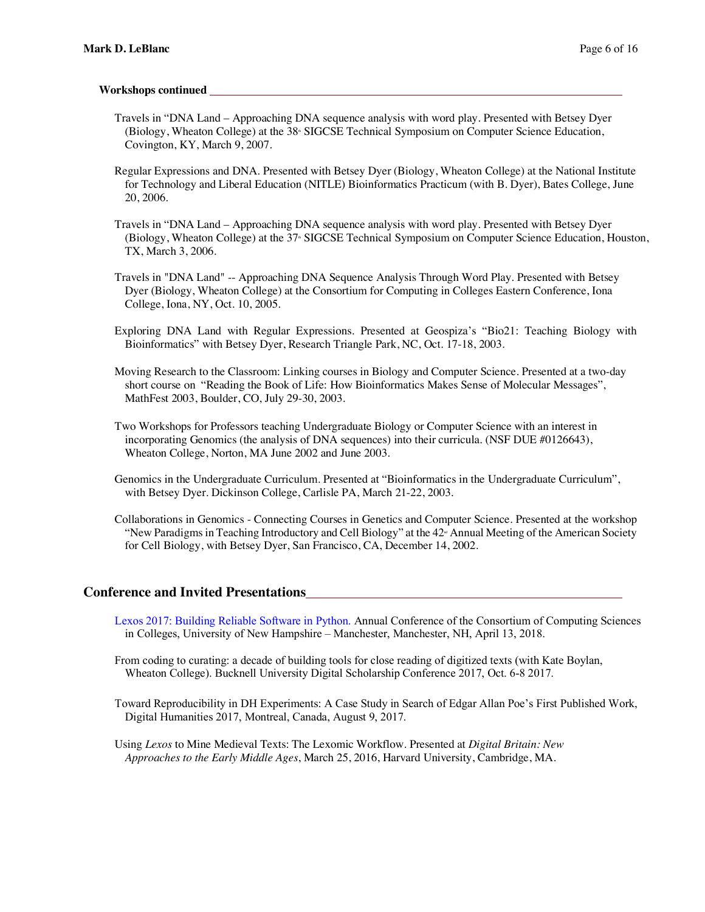#### **Workshops continued**

- Travels in "DNA Land Approaching DNA sequence analysis with word play. Presented with Betsey Dyer (Biology, Wheaton College) at the 38<sup>th</sup> SIGCSE Technical Symposium on Computer Science Education, Covington, KY, March 9, 2007.
- Regular Expressions and DNA. Presented with Betsey Dyer (Biology, Wheaton College) at the National Institute for Technology and Liberal Education (NITLE) Bioinformatics Practicum (with B. Dyer), Bates College, June 20, 2006.
- Travels in "DNA Land Approaching DNA sequence analysis with word play. Presented with Betsey Dyer (Biology, Wheaton College) at the 37<sup>th</sup> SIGCSE Technical Symposium on Computer Science Education, Houston, TX, March 3, 2006.
- Travels in "DNA Land" -- Approaching DNA Sequence Analysis Through Word Play. Presented with Betsey Dyer (Biology, Wheaton College) at the Consortium for Computing in Colleges Eastern Conference, Iona College, Iona, NY, Oct. 10, 2005.
- Exploring DNA Land with Regular Expressions. Presented at Geospiza's "Bio21: Teaching Biology with Bioinformatics" with Betsey Dyer, Research Triangle Park, NC, Oct. 17-18, 2003.
- Moving Research to the Classroom: Linking courses in Biology and Computer Science. Presented at a two-day short course on "Reading the Book of Life: How Bioinformatics Makes Sense of Molecular Messages", MathFest 2003, Boulder, CO, July 29-30, 2003.
- Two Workshops for Professors teaching Undergraduate Biology or Computer Science with an interest in incorporating Genomics (the analysis of DNA sequences) into their curricula. (NSF DUE #0126643), Wheaton College, Norton, MA June 2002 and June 2003.
- Genomics in the Undergraduate Curriculum. Presented at "Bioinformatics in the Undergraduate Curriculum", with Betsey Dyer. Dickinson College, Carlisle PA, March 21-22, 2003.
- Collaborations in Genomics Connecting Courses in Genetics and Computer Science. Presented at the workshop "New Paradigms in Teaching Introductory and Cell Biology" at the  $42$ <sup> $\mu$ </sup> Annual Meeting of the American Society for Cell Biology, with Betsey Dyer, San Francisco, CA, December 14, 2002.

## **Conference and Invited Presentations**

- Lexos 2017: Building Reliable Software in Python. Annual Conference of the Consortium of Computing Sciences in Colleges, University of New Hampshire – Manchester, Manchester, NH, April 13, 2018.
- From coding to curating: a decade of building tools for close reading of digitized texts (with Kate Boylan, Wheaton College). Bucknell University Digital Scholarship Conference 2017, Oct. 6-8 2017.
- Toward Reproducibility in DH Experiments: A Case Study in Search of Edgar Allan Poe's First Published Work, Digital Humanities 2017, Montreal, Canada, August 9, 2017.
- Using *Lexos* to Mine Medieval Texts: The Lexomic Workflow. Presented at *Digital Britain: New Approaches to the Early Middle Ages*, March 25, 2016, Harvard University, Cambridge, MA.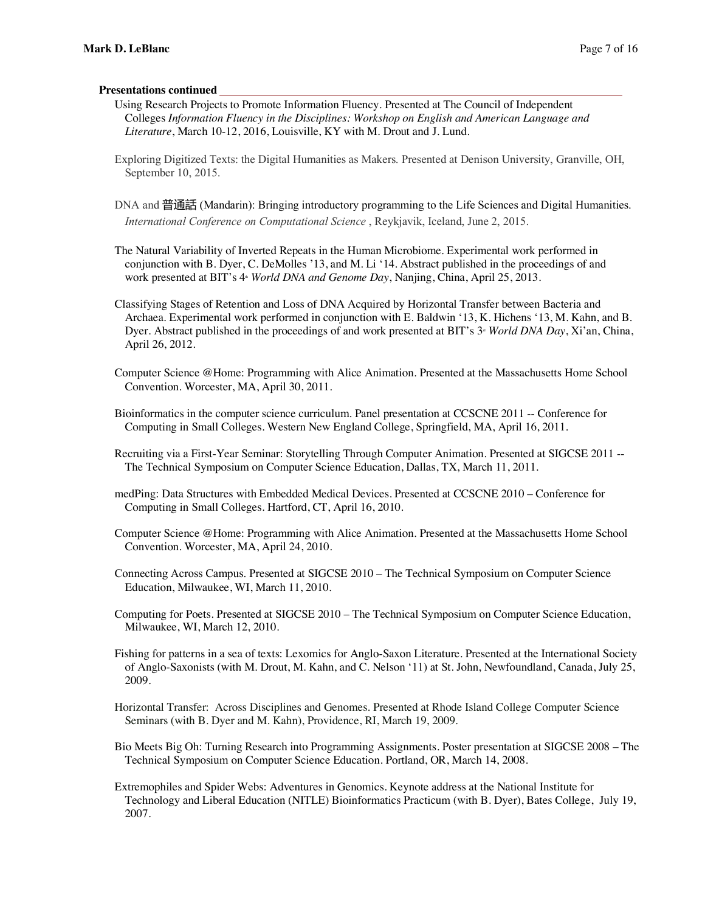#### **Presentations continued**

- Using Research Projects to Promote Information Fluency. Presented at The Council of Independent Colleges *Information Fluency in the Disciplines: Workshop on English and American Language and Literature*, March 10-12, 2016, Louisville, KY with M. Drout and J. Lund.
- Exploring Digitized Texts: the Digital Humanities as Makers. Presented at Denison University, Granville, OH, September 10, 2015.
- DNA and 普通話 (Mandarin): Bringing introductory programming to the Life Sciences and Digital Humanities. *International Conference on Computational Science* , Reykjavik, Iceland, June 2, 2015.

The Natural Variability of Inverted Repeats in the Human Microbiome. Experimental work performed in conjunction with B. Dyer, C. DeMolles '13, and M. Li '14. Abstract published in the proceedings of and work presented at BIT's 4<sup>th</sup> *World DNA and Genome Day*, Nanjing, China, April 25, 2013.

Classifying Stages of Retention and Loss of DNA Acquired by Horizontal Transfer between Bacteria and Archaea. Experimental work performed in conjunction with E. Baldwin '13, K. Hichens '13, M. Kahn, and B. Dyer. Abstract published in the proceedings of and work presented at BIT's 3<sup>ª</sup> *World DNA Day*, Xi'an, China, April 26, 2012.

Computer Science @Home: Programming with Alice Animation. Presented at the Massachusetts Home School Convention. Worcester, MA, April 30, 2011.

Bioinformatics in the computer science curriculum. Panel presentation at CCSCNE 2011 -- Conference for Computing in Small Colleges. Western New England College, Springfield, MA, April 16, 2011.

Recruiting via a First-Year Seminar: Storytelling Through Computer Animation. Presented at SIGCSE 2011 -- The Technical Symposium on Computer Science Education, Dallas, TX, March 11, 2011.

- medPing: Data Structures with Embedded Medical Devices. Presented at CCSCNE 2010 Conference for Computing in Small Colleges. Hartford, CT, April 16, 2010.
- Computer Science @Home: Programming with Alice Animation. Presented at the Massachusetts Home School Convention. Worcester, MA, April 24, 2010.

Connecting Across Campus. Presented at SIGCSE 2010 – The Technical Symposium on Computer Science Education, Milwaukee, WI, March 11, 2010.

Computing for Poets. Presented at SIGCSE 2010 – The Technical Symposium on Computer Science Education, Milwaukee, WI, March 12, 2010.

Fishing for patterns in a sea of texts: Lexomics for Anglo-Saxon Literature. Presented at the International Society of Anglo-Saxonists (with M. Drout, M. Kahn, and C. Nelson '11) at St. John, Newfoundland, Canada, July 25, 2009.

Horizontal Transfer: Across Disciplines and Genomes. Presented at Rhode Island College Computer Science Seminars (with B. Dyer and M. Kahn), Providence, RI, March 19, 2009.

Bio Meets Big Oh: Turning Research into Programming Assignments. Poster presentation at SIGCSE 2008 – The Technical Symposium on Computer Science Education*.* Portland, OR, March 14, 2008.

Extremophiles and Spider Webs: Adventures in Genomics. Keynote address at the National Institute for Technology and Liberal Education (NITLE) Bioinformatics Practicum (with B. Dyer), Bates College, July 19, 2007.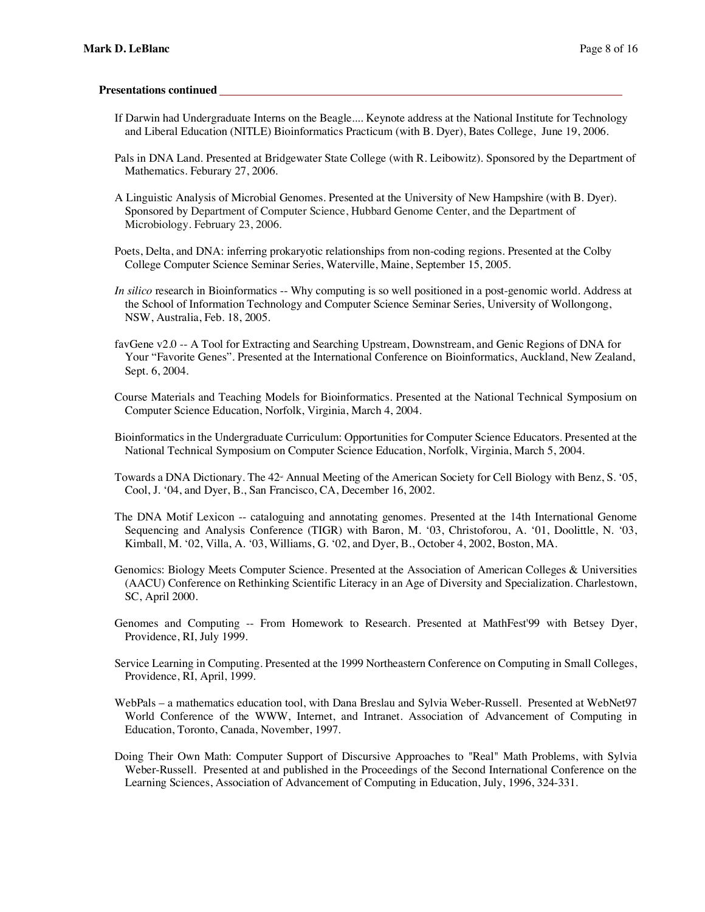#### **Presentations continued**

- If Darwin had Undergraduate Interns on the Beagle.... Keynote address at the National Institute for Technology and Liberal Education (NITLE) Bioinformatics Practicum (with B. Dyer), Bates College, June 19, 2006.
- Pals in DNA Land. Presented at Bridgewater State College (with R. Leibowitz). Sponsored by the Department of Mathematics. Feburary 27, 2006.
- A Linguistic Analysis of Microbial Genomes. Presented at the University of New Hampshire (with B. Dyer). Sponsored by Department of Computer Science, Hubbard Genome Center, and the Department of Microbiology. February 23, 2006.
- Poets, Delta, and DNA: inferring prokaryotic relationships from non-coding regions. Presented at the Colby College Computer Science Seminar Series, Waterville, Maine, September 15, 2005.
- *In silico* research in Bioinformatics -- Why computing is so well positioned in a post-genomic world. Address at the School of Information Technology and Computer Science Seminar Series, University of Wollongong, NSW, Australia, Feb. 18, 2005.
- favGene v2.0 -- A Tool for Extracting and Searching Upstream, Downstream, and Genic Regions of DNA for Your "Favorite Genes". Presented at the International Conference on Bioinformatics, Auckland, New Zealand, Sept. 6, 2004.
- Course Materials and Teaching Models for Bioinformatics. Presented at the National Technical Symposium on Computer Science Education, Norfolk, Virginia, March 4, 2004.
- Bioinformatics in the Undergraduate Curriculum: Opportunities for Computer Science Educators. Presented at the National Technical Symposium on Computer Science Education, Norfolk, Virginia, March 5, 2004.
- Towards a DNA Dictionary. The  $42<sup>a</sup>$  Annual Meeting of the American Society for Cell Biology with Benz, S. '05, Cool, J. '04, and Dyer, B., San Francisco, CA, December 16, 2002.
- The DNA Motif Lexicon -- cataloguing and annotating genomes. Presented at the 14th International Genome Sequencing and Analysis Conference (TIGR) with Baron, M. '03, Christoforou, A. '01, Doolittle, N. '03, Kimball, M. '02, Villa, A. '03, Williams, G. '02, and Dyer, B., October 4, 2002, Boston, MA.
- Genomics: Biology Meets Computer Science. Presented at the Association of American Colleges & Universities (AACU) Conference on Rethinking Scientific Literacy in an Age of Diversity and Specialization. Charlestown, SC, April 2000.
- Genomes and Computing -- From Homework to Research. Presented at MathFest'99 with Betsey Dyer, Providence, RI, July 1999.
- Service Learning in Computing. Presented at the 1999 Northeastern Conference on Computing in Small Colleges, Providence, RI, April, 1999.
- WebPals a mathematics education tool, with Dana Breslau and Sylvia Weber-Russell. Presented at WebNet97 World Conference of the WWW, Internet, and Intranet. Association of Advancement of Computing in Education, Toronto, Canada, November, 1997.
- Doing Their Own Math: Computer Support of Discursive Approaches to "Real" Math Problems, with Sylvia Weber-Russell. Presented at and published in the Proceedings of the Second International Conference on the Learning Sciences, Association of Advancement of Computing in Education, July, 1996, 324-331.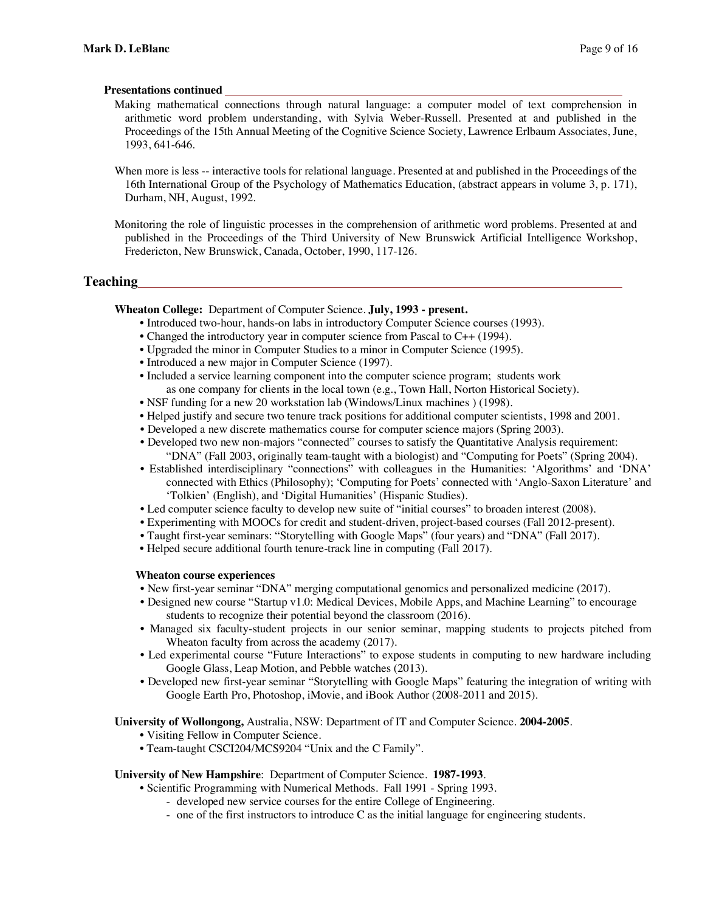#### **Presentations continued**

- Making mathematical connections through natural language: a computer model of text comprehension in arithmetic word problem understanding, with Sylvia Weber-Russell. Presented at and published in the Proceedings of the 15th Annual Meeting of the Cognitive Science Society, Lawrence Erlbaum Associates, June, 1993, 641-646.
- When more is less -- interactive tools for relational language. Presented at and published in the Proceedings of the 16th International Group of the Psychology of Mathematics Education, (abstract appears in volume 3, p. 171), Durham, NH, August, 1992.

Monitoring the role of linguistic processes in the comprehension of arithmetic word problems. Presented at and published in the Proceedings of the Third University of New Brunswick Artificial Intelligence Workshop, Fredericton, New Brunswick, Canada, October, 1990, 117-126.

## **Teaching**

**Wheaton College:** Department of Computer Science. **July, 1993 - present.**

- Introduced two-hour, hands-on labs in introductory Computer Science courses (1993).
- Changed the introductory year in computer science from Pascal to C++ (1994).
- Upgraded the minor in Computer Studies to a minor in Computer Science (1995).
- Introduced a new major in Computer Science (1997).
- Included a service learning component into the computer science program; students work as one company for clients in the local town (e.g., Town Hall, Norton Historical Society).
- NSF funding for a new 20 workstation lab (Windows/Linux machines ) (1998).
- Helped justify and secure two tenure track positions for additional computer scientists, 1998 and 2001.
- Developed a new discrete mathematics course for computer science majors (Spring 2003).
- Developed two new non-majors "connected" courses to satisfy the Quantitative Analysis requirement: "DNA" (Fall 2003, originally team-taught with a biologist) and "Computing for Poets" (Spring 2004).
- Established interdisciplinary "connections" with colleagues in the Humanities: 'Algorithms' and 'DNA' connected with Ethics (Philosophy); 'Computing for Poets' connected with 'Anglo-Saxon Literature' and 'Tolkien' (English), and 'Digital Humanities' (Hispanic Studies).
- Led computer science faculty to develop new suite of "initial courses" to broaden interest (2008).
- Experimenting with MOOCs for credit and student-driven, project-based courses (Fall 2012-present).
- Taught first-year seminars: "Storytelling with Google Maps" (four years) and "DNA" (Fall 2017).
- Helped secure additional fourth tenure-track line in computing (Fall 2017).

## **Wheaton course experiences**

- New first-year seminar "DNA" merging computational genomics and personalized medicine (2017).
- Designed new course "Startup v1.0: Medical Devices, Mobile Apps, and Machine Learning" to encourage students to recognize their potential beyond the classroom (2016).
- Managed six faculty-student projects in our senior seminar, mapping students to projects pitched from Wheaton faculty from across the academy (2017).
- Led experimental course "Future Interactions" to expose students in computing to new hardware including Google Glass, Leap Motion, and Pebble watches (2013).
- Developed new first-year seminar "Storytelling with Google Maps" featuring the integration of writing with Google Earth Pro, Photoshop, iMovie, and iBook Author (2008-2011 and 2015).

## **University of Wollongong,** Australia, NSW: Department of IT and Computer Science. **2004-2005**.

- Visiting Fellow in Computer Science.
- Team-taught CSCI204/MCS9204 "Unix and the C Family".

## **University of New Hampshire**: Department of Computer Science. **1987-1993**.

- Scientific Programming with Numerical Methods. Fall 1991 Spring 1993.
	- developed new service courses for the entire College of Engineering.
	- one of the first instructors to introduce C as the initial language for engineering students.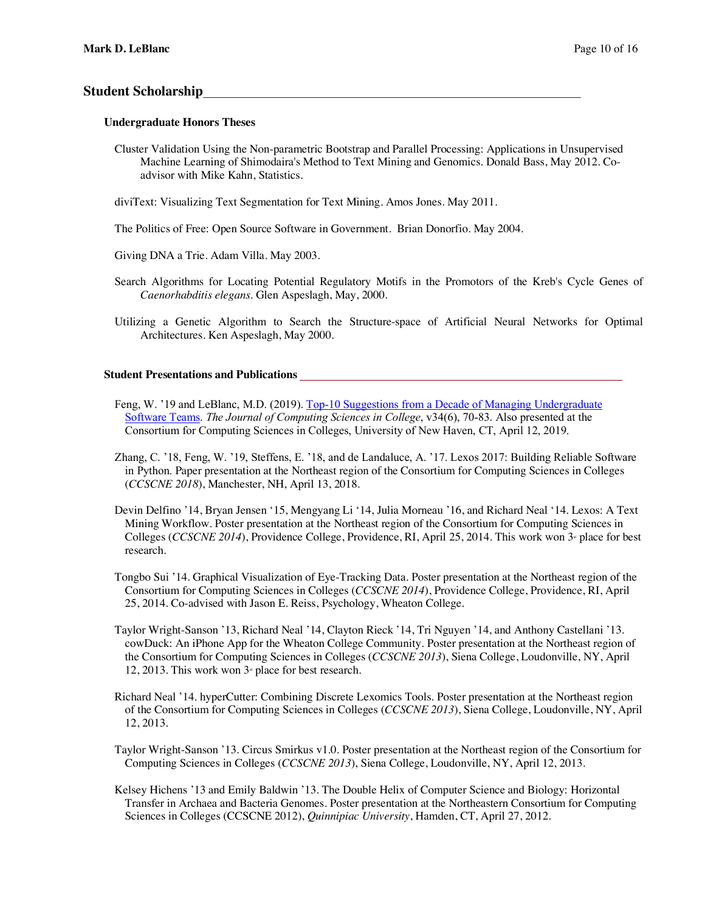## **Student Scholarship**

#### **Undergraduate Honors Theses**

Cluster Validation Using the Non-parametric Bootstrap and Parallel Processing: Applications in Unsupervised Machine Learning of Shimodaira's Method to Text Mining and Genomics. Donald Bass, May 2012. Coadvisor with Mike Kahn, Statistics.

diviText: Visualizing Text Segmentation for Text Mining. Amos Jones. May 2011.

The Politics of Free: Open Source Software in Government. Brian Donorfio. May 2004.

Giving DNA a Trie. Adam Villa. May 2003.

- Search Algorithms for Locating Potential Regulatory Motifs in the Promotors of the Kreb's Cycle Genes of *Caenorhabditis elegans*. Glen Aspeslagh, May, 2000.
- Utilizing a Genetic Algorithm to Search the Structure-space of Artificial Neural Networks for Optimal Architectures. Ken Aspeslagh, May 2000.

#### **Student Presentations and Publications**

- Feng, W. '19 and LeBlanc, M.D. (2019). Top-10 Suggestions from a Decade of Managing Undergraduate Software Teams. *The Journal of Computing Sciences in College*, v34(6), 70-83. Also presented at the Consortium for Computing Sciences in Colleges, University of New Haven, CT, April 12, 2019.
- Zhang, C. '18, Feng, W. '19, Steffens, E. '18, and de Landaluce, A. '17. Lexos 2017: Building Reliable Software in Python. Paper presentation at the Northeast region of the Consortium for Computing Sciences in Colleges (*CCSCNE 2018*), Manchester, NH, April 13, 2018.
- Devin Delfino '14, Bryan Jensen '15, Mengyang Li '14, Julia Morneau '16, and Richard Neal '14. Lexos: A Text Mining Workflow. Poster presentation at the Northeast region of the Consortium for Computing Sciences in Colleges (*CCSCNE 2014*), Providence College, Providence, RI, April 25, 2014. This work won 3<sup>ª</sup> place for best research.
- Tongbo Sui '14. Graphical Visualization of Eye-Tracking Data. Poster presentation at the Northeast region of the Consortium for Computing Sciences in Colleges (*CCSCNE 2014*), Providence College, Providence, RI, April 25, 2014. Co-advised with Jason E. Reiss, Psychology, Wheaton College.
- Taylor Wright-Sanson '13, Richard Neal '14, Clayton Rieck '14, Tri Nguyen '14, and Anthony Castellani '13. cowDuck: An iPhone App for the Wheaton College Community. Poster presentation at the Northeast region of the Consortium for Computing Sciences in Colleges (*CCSCNE 2013*), Siena College, Loudonville, NY, April 12, 2013. This work won  $3<sup>d</sup>$  place for best research.
- Richard Neal '14. hyperCutter: Combining Discrete Lexomics Tools. Poster presentation at the Northeast region of the Consortium for Computing Sciences in Colleges (*CCSCNE 2013*), Siena College, Loudonville, NY, April 12, 2013.
- Taylor Wright-Sanson '13. Circus Smirkus v1.0. Poster presentation at the Northeast region of the Consortium for Computing Sciences in Colleges (*CCSCNE 2013*), Siena College, Loudonville, NY, April 12, 2013.
- Kelsey Hichens '13 and Emily Baldwin '13. The Double Helix of Computer Science and Biology: Horizontal Transfer in Archaea and Bacteria Genomes. Poster presentation at the Northeastern Consortium for Computing Sciences in Colleges (CCSCNE 2012), *Quinnipiac University*, Hamden, CT, April 27, 2012.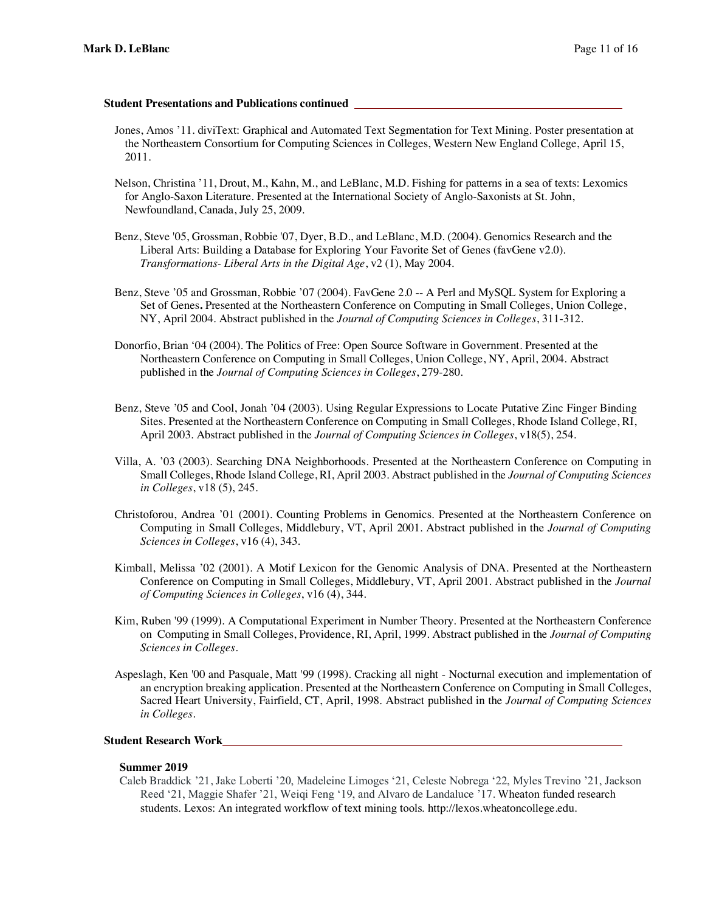#### **Student Presentations and Publications continued**

- Jones, Amos '11. diviText: Graphical and Automated Text Segmentation for Text Mining. Poster presentation at the Northeastern Consortium for Computing Sciences in Colleges, Western New England College, April 15, 2011.
- Nelson, Christina '11, Drout, M., Kahn, M., and LeBlanc, M.D. Fishing for patterns in a sea of texts: Lexomics for Anglo-Saxon Literature. Presented at the International Society of Anglo-Saxonists at St. John, Newfoundland, Canada, July 25, 2009.
- Benz, Steve '05, Grossman, Robbie '07, Dyer, B.D., and LeBlanc, M.D. (2004). Genomics Research and the Liberal Arts: Building a Database for Exploring Your Favorite Set of Genes (favGene v2.0). *Transformations- Liberal Arts in the Digital Age*, v2 (1), May 2004.
- Benz, Steve '05 and Grossman, Robbie '07 (2004). FavGene 2.0 -- A Perl and MySQL System for Exploring a Set of Genes**.** Presented at the Northeastern Conference on Computing in Small Colleges, Union College, NY, April 2004. Abstract published in the *Journal of Computing Sciences in Colleges*, 311-312.
- Donorfio, Brian '04 (2004). The Politics of Free: Open Source Software in Government. Presented at the Northeastern Conference on Computing in Small Colleges, Union College, NY, April, 2004. Abstract published in the *Journal of Computing Sciences in Colleges*, 279-280.
- Benz, Steve '05 and Cool, Jonah '04 (2003). Using Regular Expressions to Locate Putative Zinc Finger Binding Sites. Presented at the Northeastern Conference on Computing in Small Colleges, Rhode Island College, RI, April 2003. Abstract published in the *Journal of Computing Sciences in Colleges*, v18(5), 254.
- Villa, A. '03 (2003). Searching DNA Neighborhoods. Presented at the Northeastern Conference on Computing in Small Colleges, Rhode Island College, RI, April 2003. Abstract published in the *Journal of Computing Sciences in Colleges*, v18 (5), 245.
- Christoforou, Andrea '01 (2001). Counting Problems in Genomics. Presented at the Northeastern Conference on Computing in Small Colleges, Middlebury, VT, April 2001. Abstract published in the *Journal of Computing Sciences in Colleges*, v16 (4), 343.
- Kimball, Melissa '02 (2001). A Motif Lexicon for the Genomic Analysis of DNA. Presented at the Northeastern Conference on Computing in Small Colleges, Middlebury, VT, April 2001. Abstract published in the *Journal of Computing Sciences in Colleges*, v16 (4), 344.
- Kim, Ruben '99 (1999). A Computational Experiment in Number Theory. Presented at the Northeastern Conference on Computing in Small Colleges, Providence, RI, April, 1999. Abstract published in the *Journal of Computing Sciences in Colleges*.
- Aspeslagh, Ken '00 and Pasquale, Matt '99 (1998). Cracking all night Nocturnal execution and implementation of an encryption breaking application. Presented at the Northeastern Conference on Computing in Small Colleges, Sacred Heart University, Fairfield, CT, April, 1998. Abstract published in the *Journal of Computing Sciences in Colleges*.

## **Student Research Work**

## **Summer 2019**

Caleb Braddick '21, Jake Loberti '20, Madeleine Limoges '21, Celeste Nobrega '22, Myles Trevino '21, Jackson Reed '21, Maggie Shafer '21, Weiqi Feng '19, and Alvaro de Landaluce '17. Wheaton funded research students. Lexos: An integrated workflow of text mining tools. http://lexos.wheatoncollege.edu.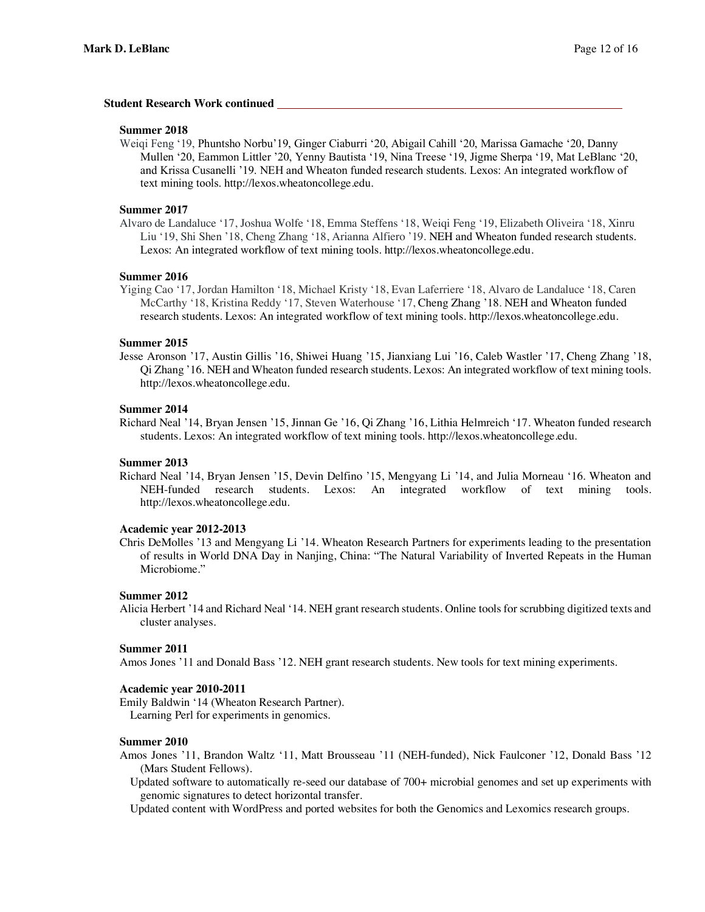#### **Student Research Work continued**

#### **Summer 2018**

Weiqi Feng '19, Phuntsho Norbu'19, Ginger Ciaburri '20, Abigail Cahill '20, Marissa Gamache '20, Danny Mullen '20, Eammon Littler '20, Yenny Bautista '19, Nina Treese '19, Jigme Sherpa '19, Mat LeBlanc '20, and Krissa Cusanelli '19. NEH and Wheaton funded research students. Lexos: An integrated workflow of text mining tools. http://lexos.wheatoncollege.edu.

#### **Summer 2017**

Alvaro de Landaluce '17, Joshua Wolfe '18, Emma Steffens '18, Weiqi Feng '19, Elizabeth Oliveira '18, Xinru Liu '19, Shi Shen '18, Cheng Zhang '18, Arianna Alfiero '19. NEH and Wheaton funded research students. Lexos: An integrated workflow of text mining tools. http://lexos.wheatoncollege.edu.

#### **Summer 2016**

Yiging Cao '17, Jordan Hamilton '18, Michael Kristy '18, Evan Laferriere '18, Alvaro de Landaluce '18, Caren McCarthy '18, Kristina Reddy '17, Steven Waterhouse '17, Cheng Zhang '18. NEH and Wheaton funded research students. Lexos: An integrated workflow of text mining tools. http://lexos.wheatoncollege.edu.

#### **Summer 2015**

Jesse Aronson '17, Austin Gillis '16, Shiwei Huang '15, Jianxiang Lui '16, Caleb Wastler '17, Cheng Zhang '18, Qi Zhang '16. NEH and Wheaton funded research students. Lexos: An integrated workflow of text mining tools. http://lexos.wheatoncollege.edu.

#### **Summer 2014**

Richard Neal '14, Bryan Jensen '15, Jinnan Ge '16, Qi Zhang '16, Lithia Helmreich '17. Wheaton funded research students. Lexos: An integrated workflow of text mining tools. http://lexos.wheatoncollege.edu.

#### **Summer 2013**

Richard Neal '14, Bryan Jensen '15, Devin Delfino '15, Mengyang Li '14, and Julia Morneau '16. Wheaton and NEH-funded research students. Lexos: An integrated workflow of text mining tools. http://lexos.wheatoncollege.edu.

#### **Academic year 2012-2013**

Chris DeMolles '13 and Mengyang Li '14. Wheaton Research Partners for experiments leading to the presentation of results in World DNA Day in Nanjing, China: "The Natural Variability of Inverted Repeats in the Human Microbiome."

#### **Summer 2012**

Alicia Herbert '14 and Richard Neal '14. NEH grant research students. Online tools for scrubbing digitized texts and cluster analyses.

#### **Summer 2011**

Amos Jones '11 and Donald Bass '12. NEH grant research students. New tools for text mining experiments.

#### **Academic year 2010-2011**

Emily Baldwin '14 (Wheaton Research Partner). Learning Perl for experiments in genomics.

#### **Summer 2010**

- Amos Jones '11, Brandon Waltz '11, Matt Brousseau '11 (NEH-funded), Nick Faulconer '12, Donald Bass '12 (Mars Student Fellows).
	- Updated software to automatically re-seed our database of 700+ microbial genomes and set up experiments with genomic signatures to detect horizontal transfer.
	- Updated content with WordPress and ported websites for both the Genomics and Lexomics research groups.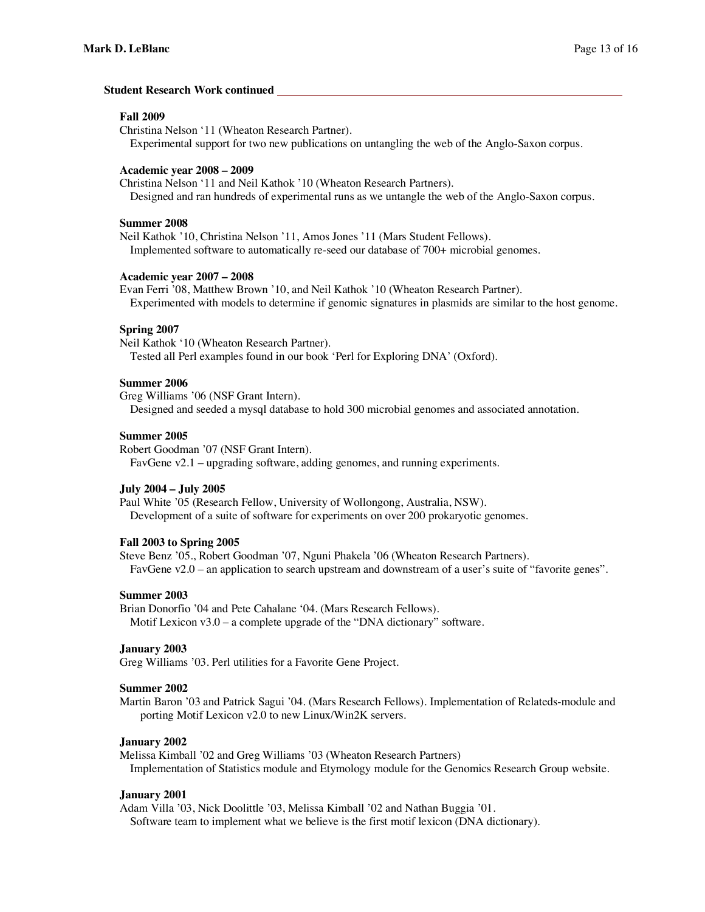#### **Student Research Work continued**

#### **Fall 2009**

Christina Nelson '11 (Wheaton Research Partner).

Experimental support for two new publications on untangling the web of the Anglo-Saxon corpus.

#### **Academic year 2008 – 2009**

Christina Nelson '11 and Neil Kathok '10 (Wheaton Research Partners). Designed and ran hundreds of experimental runs as we untangle the web of the Anglo-Saxon corpus.

#### **Summer 2008**

Neil Kathok '10, Christina Nelson '11, Amos Jones '11 (Mars Student Fellows). Implemented software to automatically re-seed our database of 700+ microbial genomes.

#### **Academic year 2007 – 2008**

Evan Ferri '08, Matthew Brown '10, and Neil Kathok '10 (Wheaton Research Partner). Experimented with models to determine if genomic signatures in plasmids are similar to the host genome.

## **Spring 2007**

Neil Kathok '10 (Wheaton Research Partner). Tested all Perl examples found in our book 'Perl for Exploring DNA' (Oxford).

#### **Summer 2006**

Greg Williams '06 (NSF Grant Intern).

Designed and seeded a mysql database to hold 300 microbial genomes and associated annotation.

#### **Summer 2005**

Robert Goodman '07 (NSF Grant Intern). FavGene v2.1 – upgrading software, adding genomes, and running experiments.

#### **July 2004 – July 2005**

Paul White '05 (Research Fellow, University of Wollongong, Australia, NSW). Development of a suite of software for experiments on over 200 prokaryotic genomes.

#### **Fall 2003 to Spring 2005**

Steve Benz '05., Robert Goodman '07, Nguni Phakela '06 (Wheaton Research Partners). FavGene v2.0 – an application to search upstream and downstream of a user's suite of "favorite genes".

#### **Summer 2003**

Brian Donorfio '04 and Pete Cahalane '04. (Mars Research Fellows). Motif Lexicon  $v3.0 - a$  complete upgrade of the "DNA dictionary" software.

#### **January 2003**

Greg Williams '03. Perl utilities for a Favorite Gene Project.

#### **Summer 2002**

Martin Baron '03 and Patrick Sagui '04. (Mars Research Fellows). Implementation of Relateds-module and porting Motif Lexicon v2.0 to new Linux/Win2K servers.

#### **January 2002**

Melissa Kimball '02 and Greg Williams '03 (Wheaton Research Partners) Implementation of Statistics module and Etymology module for the Genomics Research Group website.

#### **January 2001**

Adam Villa '03, Nick Doolittle '03, Melissa Kimball '02 and Nathan Buggia '01. Software team to implement what we believe is the first motif lexicon (DNA dictionary).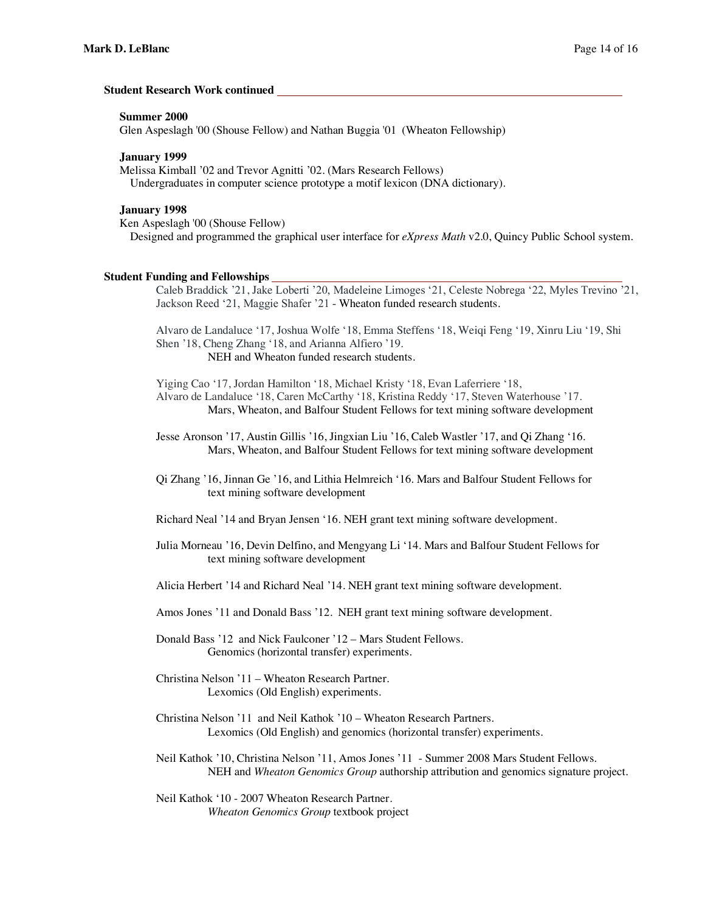#### **Student Research Work continued**

#### **Summer 2000**

Glen Aspeslagh '00 (Shouse Fellow) and Nathan Buggia '01 (Wheaton Fellowship)

#### **January 1999**

Melissa Kimball '02 and Trevor Agnitti '02. (Mars Research Fellows) Undergraduates in computer science prototype a motif lexicon (DNA dictionary).

## **January 1998**

Ken Aspeslagh '00 (Shouse Fellow) Designed and programmed the graphical user interface for *eXpress Math* v2.0, Quincy Public School system.

#### **Student Funding and Fellowships**

Caleb Braddick '21, Jake Loberti '20, Madeleine Limoges '21, Celeste Nobrega '22, Myles Trevino '21, Jackson Reed '21, Maggie Shafer '21 - Wheaton funded research students.

Alvaro de Landaluce '17, Joshua Wolfe '18, Emma Steffens '18, Weiqi Feng '19, Xinru Liu '19, Shi Shen '18, Cheng Zhang '18, and Arianna Alfiero '19. NEH and Wheaton funded research students.

Yiging Cao '17, Jordan Hamilton '18, Michael Kristy '18, Evan Laferriere '18,

Alvaro de Landaluce '18, Caren McCarthy '18, Kristina Reddy '17, Steven Waterhouse '17. Mars, Wheaton, and Balfour Student Fellows for text mining software development

Jesse Aronson '17, Austin Gillis '16, Jingxian Liu '16, Caleb Wastler '17, and Qi Zhang '16. Mars, Wheaton, and Balfour Student Fellows for text mining software development

Qi Zhang '16, Jinnan Ge '16, and Lithia Helmreich '16. Mars and Balfour Student Fellows for text mining software development

Richard Neal '14 and Bryan Jensen '16. NEH grant text mining software development.

Julia Morneau '16, Devin Delfino, and Mengyang Li '14. Mars and Balfour Student Fellows for text mining software development

Alicia Herbert '14 and Richard Neal '14. NEH grant text mining software development.

Amos Jones '11 and Donald Bass '12. NEH grant text mining software development.

Donald Bass '12 and Nick Faulconer '12 – Mars Student Fellows. Genomics (horizontal transfer) experiments.

- Christina Nelson '11 Wheaton Research Partner. Lexomics (Old English) experiments.
- Christina Nelson '11 and Neil Kathok '10 Wheaton Research Partners. Lexomics (Old English) and genomics (horizontal transfer) experiments.

Neil Kathok '10, Christina Nelson '11, Amos Jones '11 - Summer 2008 Mars Student Fellows. NEH and *Wheaton Genomics Group* authorship attribution and genomics signature project*.*

Neil Kathok '10 - 2007 Wheaton Research Partner. *Wheaton Genomics Group* textbook project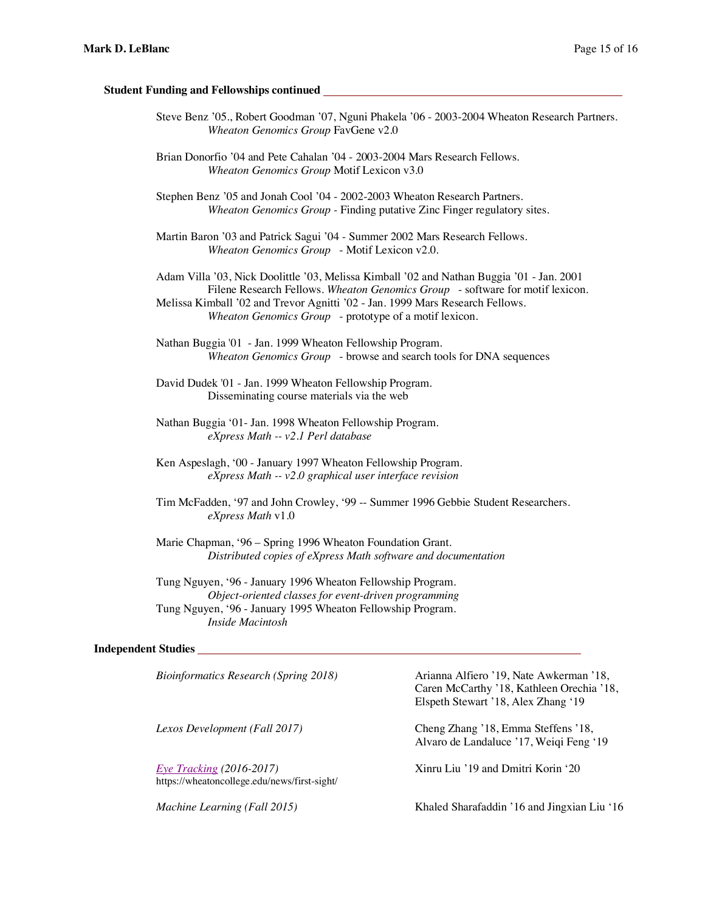#### **Student Funding and Fellowships continued**

- Steve Benz '05., Robert Goodman '07, Nguni Phakela '06 2003-2004 Wheaton Research Partners. *Wheaton Genomics Group* FavGene v2.0
- Brian Donorfio '04 and Pete Cahalan '04 2003-2004 Mars Research Fellows. *Wheaton Genomics Group* Motif Lexicon v3.0
- Stephen Benz '05 and Jonah Cool '04 2002-2003 Wheaton Research Partners. *Wheaton Genomics Group -* Finding putative Zinc Finger regulatory sites.
- Martin Baron '03 and Patrick Sagui '04 Summer 2002 Mars Research Fellows. *Wheaton Genomics Group* - Motif Lexicon v2.0.

Adam Villa '03, Nick Doolittle '03, Melissa Kimball '02 and Nathan Buggia '01 - Jan. 2001 Filene Research Fellows. *Wheaton Genomics Group* - software for motif lexicon. Melissa Kimball '02 and Trevor Agnitti '02 - Jan. 1999 Mars Research Fellows. *Wheaton Genomics Group* - prototype of a motif lexicon.

Nathan Buggia '01 - Jan. 1999 Wheaton Fellowship Program. *Wheaton Genomics Group* - browse and search tools for DNA sequences

David Dudek '01 - Jan. 1999 Wheaton Fellowship Program. Disseminating course materials via the web

- Nathan Buggia '01- Jan. 1998 Wheaton Fellowship Program. *eXpress Math -- v2.1 Perl database*
- Ken Aspeslagh, '00 January 1997 Wheaton Fellowship Program. *eXpress Math -- v2.0 graphical user interface revision*
- Tim McFadden, '97 and John Crowley, '99 -- Summer 1996 Gebbie Student Researchers. *eXpress Math* v1.0

Marie Chapman, '96 – Spring 1996 Wheaton Foundation Grant. *Distributed copies of eXpress Math software and documentation* 

Tung Nguyen, '96 - January 1996 Wheaton Fellowship Program. *Object-oriented classes for event-driven programming* Tung Nguyen, '96 - January 1995 Wheaton Fellowship Program. *Inside Macintosh* 

#### **Independent Studies**

*Eye Tracking (2016-2017)* Xinru Liu '19 and Dmitri Korin '20 https://wheatoncollege.edu/news/first-sight/

*Bioinformatics Research (Spring 2018)* Arianna Alfiero '19, Nate Awkerman '18, Caren McCarthy '18, Kathleen Orechia '18, Elspeth Stewart '18, Alex Zhang '19

*Lexos Development (Fall 2017)* Cheng Zhang '18, Emma Steffens '18, Alvaro de Landaluce '17, Weiqi Feng '19

*Machine Learning (Fall 2015)* Khaled Sharafaddin '16 and Jingxian Liu '16